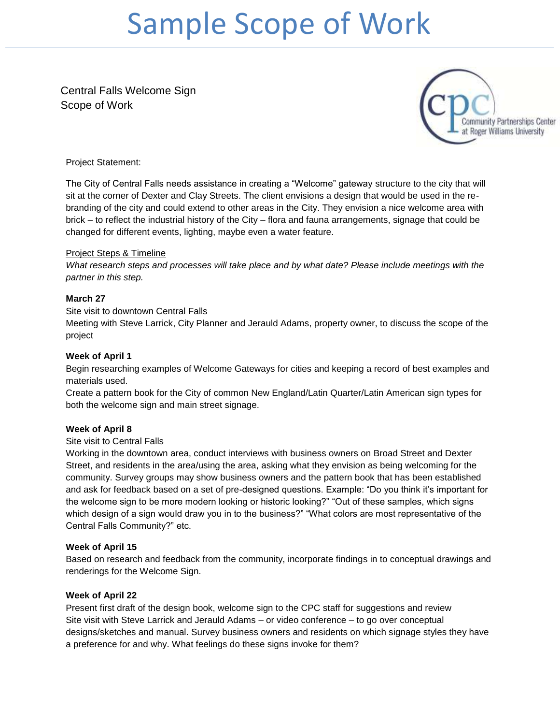# Sample Scope of Work

Central Falls Welcome Sign Scope of Work



# Project Statement:

The City of Central Falls needs assistance in creating a "Welcome" gateway structure to the city that will sit at the corner of Dexter and Clay Streets. The client envisions a design that would be used in the rebranding of the city and could extend to other areas in the City. They envision a nice welcome area with brick – to reflect the industrial history of the City – flora and fauna arrangements, signage that could be changed for different events, lighting, maybe even a water feature.

# Project Steps & Timeline

*What research steps and processes will take place and by what date? Please include meetings with the partner in this step.*

# **March 27**

Site visit to downtown Central Falls

Meeting with Steve Larrick, City Planner and Jerauld Adams, property owner, to discuss the scope of the project

## **Week of April 1**

Begin researching examples of Welcome Gateways for cities and keeping a record of best examples and materials used.

Create a pattern book for the City of common New England/Latin Quarter/Latin American sign types for both the welcome sign and main street signage.

## **Week of April 8**

## Site visit to Central Falls

Working in the downtown area, conduct interviews with business owners on Broad Street and Dexter Street, and residents in the area/using the area, asking what they envision as being welcoming for the community. Survey groups may show business owners and the pattern book that has been established and ask for feedback based on a set of pre-designed questions. Example: "Do you think it's important for the welcome sign to be more modern looking or historic looking?" "Out of these samples, which signs which design of a sign would draw you in to the business?" "What colors are most representative of the Central Falls Community?" etc.

#### **Week of April 15**

Based on research and feedback from the community, incorporate findings in to conceptual drawings and renderings for the Welcome Sign.

#### **Week of April 22**

Present first draft of the design book, welcome sign to the CPC staff for suggestions and review Site visit with Steve Larrick and Jerauld Adams – or video conference – to go over conceptual designs/sketches and manual. Survey business owners and residents on which signage styles they have a preference for and why. What feelings do these signs invoke for them?